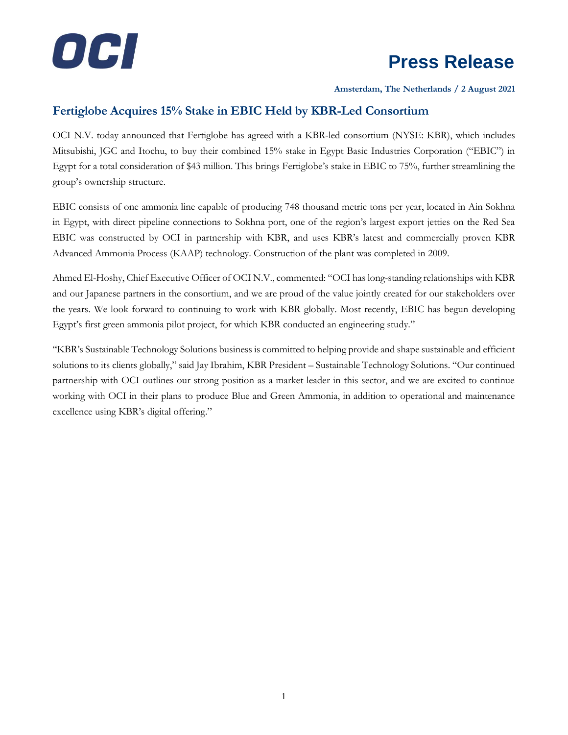

## **Press Release**

**Amsterdam, The Netherlands / 2 August 2021**

## **Fertiglobe Acquires 15% Stake in EBIC Held by KBR-Led Consortium**

OCI N.V. today announced that Fertiglobe has agreed with a KBR-led consortium (NYSE: KBR), which includes Mitsubishi, JGC and Itochu, to buy their combined 15% stake in Egypt Basic Industries Corporation ("EBIC") in Egypt for a total consideration of \$43 million. This brings Fertiglobe's stake in EBIC to 75%, further streamlining the group's ownership structure.

EBIC consists of one ammonia line capable of producing 748 thousand metric tons per year, located in Ain Sokhna in Egypt, with direct pipeline connections to Sokhna port, one of the region's largest export jetties on the Red Sea EBIC was constructed by OCI in partnership with KBR, and uses KBR's latest and commercially proven KBR Advanced Ammonia Process (KAAP) technology. Construction of the plant was completed in 2009.

Ahmed El-Hoshy, Chief Executive Officer of OCI N.V., commented: "OCI has long-standing relationships with KBR and our Japanese partners in the consortium, and we are proud of the value jointly created for our stakeholders over the years. We look forward to continuing to work with KBR globally. Most recently, EBIC has begun developing Egypt's first green ammonia pilot project, for which KBR conducted an engineering study."

"KBR's Sustainable Technology Solutions business is committed to helping provide and shape sustainable and efficient solutions to its clients globally," said Jay Ibrahim, KBR President – Sustainable Technology Solutions. "Our continued partnership with OCI outlines our strong position as a market leader in this sector, and we are excited to continue working with OCI in their plans to produce Blue and Green Ammonia, in addition to operational and maintenance excellence using KBR's digital offering."